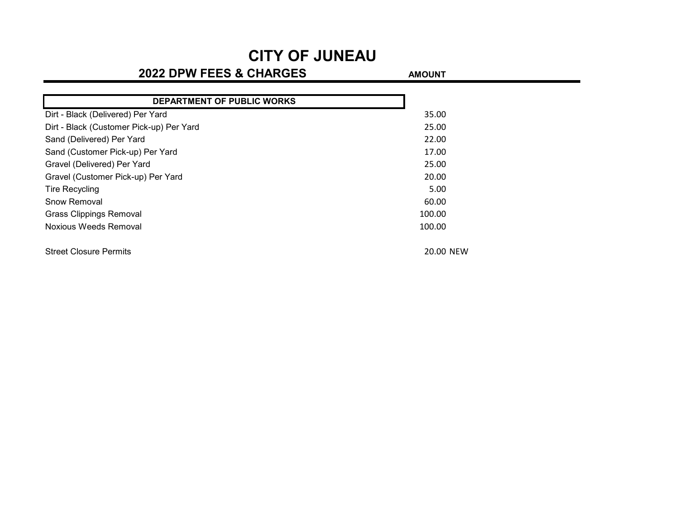### **2022 DPW FEES & CHARGES AMOUNT**

| DEPARTMENT OF PUBLIC WORKS               |           |
|------------------------------------------|-----------|
| Dirt - Black (Delivered) Per Yard        | 35.00     |
| Dirt - Black (Customer Pick-up) Per Yard | 25.00     |
| Sand (Delivered) Per Yard                | 22.00     |
| Sand (Customer Pick-up) Per Yard         | 17.00     |
| Gravel (Delivered) Per Yard              | 25.00     |
| Gravel (Customer Pick-up) Per Yard       | 20.00     |
| <b>Tire Recycling</b>                    | 5.00      |
| Snow Removal                             | 60.00     |
| <b>Grass Clippings Removal</b>           | 100.00    |
| Noxious Weeds Removal                    | 100.00    |
| <b>Street Closure Permits</b>            | 20.00 NEW |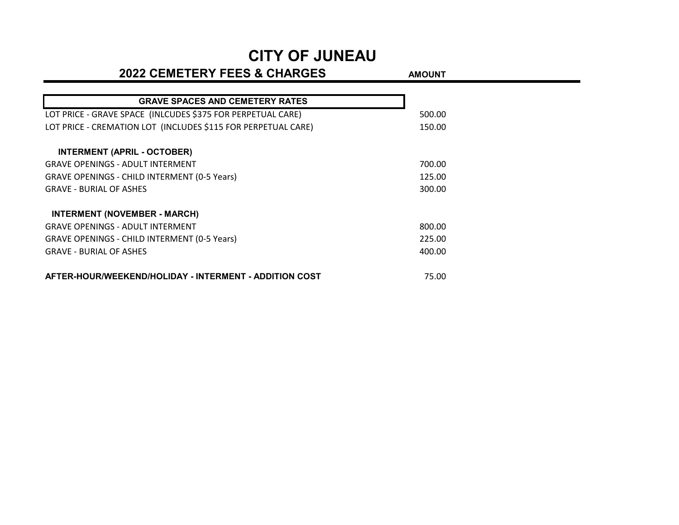### **2022 CEMETERY FEES & CHARGES** AMOUNT

| <b>GRAVE SPACES AND CEMETERY RATES</b>                        |        |
|---------------------------------------------------------------|--------|
| LOT PRICE - GRAVE SPACE (INLCUDES \$375 FOR PERPETUAL CARE)   | 500.00 |
| LOT PRICE - CREMATION LOT (INCLUDES \$115 FOR PERPETUAL CARE) | 150.00 |
| <b>INTERMENT (APRIL - OCTOBER)</b>                            |        |
| <b>GRAVE OPENINGS - ADULT INTERMENT</b>                       | 700.00 |
| <b>GRAVE OPENINGS - CHILD INTERMENT (0-5 Years)</b>           | 125.00 |
| <b>GRAVE - BURIAL OF ASHES</b>                                | 300.00 |
| <b>INTERMENT (NOVEMBER - MARCH)</b>                           |        |
| <b>GRAVE OPENINGS - ADULT INTERMENT</b>                       | 800.00 |
| <b>GRAVE OPENINGS - CHILD INTERMENT (0-5 Years)</b>           | 225.00 |
| <b>GRAVE - BURIAL OF ASHES</b>                                | 400.00 |
| AFTER-HOUR/WEEKEND/HOLIDAY - INTERMENT - ADDITION COST        | 75.00  |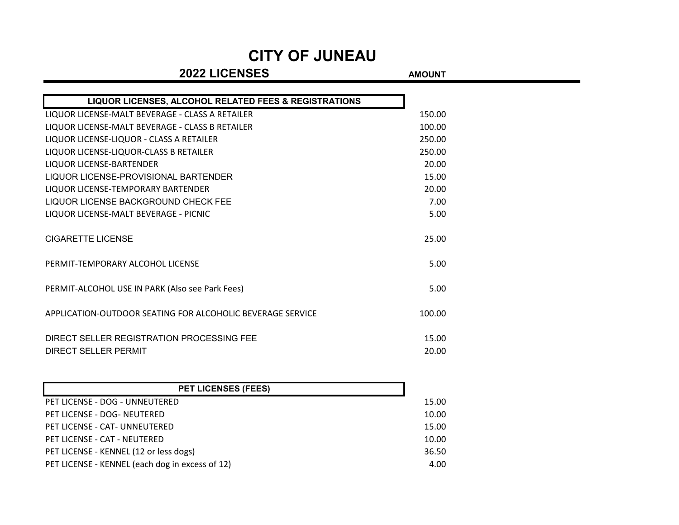### **2022 LICENSES AMOUNT**

| LIQUOR LICENSES, ALCOHOL RELATED FEES & REGISTRATIONS      |        |
|------------------------------------------------------------|--------|
| LIQUOR LICENSE-MALT BEVERAGE - CLASS A RETAILER            | 150.00 |
| LIQUOR LICENSE-MALT BEVERAGE - CLASS B RETAILER            | 100.00 |
| LIQUOR LICENSE-LIQUOR - CLASS A RETAILER                   | 250.00 |
| LIQUOR LICENSE-LIQUOR-CLASS B RETAILER                     | 250.00 |
| <b>LIQUOR LICENSE-BARTENDER</b>                            | 20.00  |
| LIQUOR LICENSE-PROVISIONAL BARTENDER                       | 15.00  |
| LIQUOR LICENSE-TEMPORARY BARTENDER                         | 20.00  |
| LIQUOR LICENSE BACKGROUND CHECK FEE                        | 7.00   |
| LIQUOR LICENSE-MALT BEVERAGE - PICNIC                      | 5.00   |
| CIGARETTE LICENSE                                          | 25.00  |
| PERMIT-TEMPORARY ALCOHOL LICENSE                           | 5.00   |
| PERMIT-ALCOHOL USE IN PARK (Also see Park Fees)            | 5.00   |
| APPLICATION-OUTDOOR SEATING FOR ALCOHOLIC BEVERAGE SERVICE | 100.00 |
| DIRECT SELLER REGISTRATION PROCESSING FEE                  | 15.00  |
| DIRECT SELLER PERMIT                                       | 20.00  |

| <b>PET LICENSES (FEES)</b>                      |       |
|-------------------------------------------------|-------|
| PET LICENSE - DOG - UNNEUTERED                  | 15.00 |
| PET LICENSE - DOG- NEUTERED                     | 10.00 |
| PET LICENSE - CAT- UNNEUTERED                   | 15.00 |
| PET LICENSE - CAT - NEUTERED                    | 10.00 |
| PET LICENSE - KENNEL (12 or less dogs)          | 36.50 |
| PET LICENSE - KENNEL (each dog in excess of 12) | 4.00  |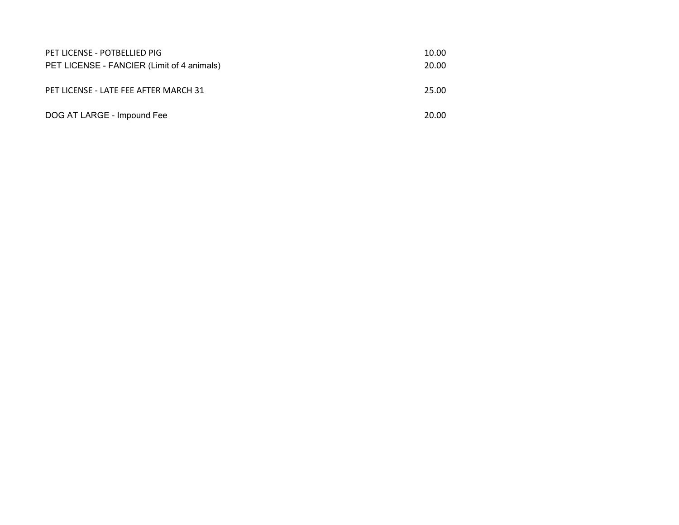| PET LICENSE - POTBELLIED PIG               | 10.00 |
|--------------------------------------------|-------|
| PET LICENSE - FANCIER (Limit of 4 animals) | 20.00 |
|                                            |       |
| PET LICENSE - LATE FEE AFTER MARCH 31      | 25.00 |
|                                            |       |
| DOG AT LARGE - Impound Fee                 | 20.00 |
|                                            |       |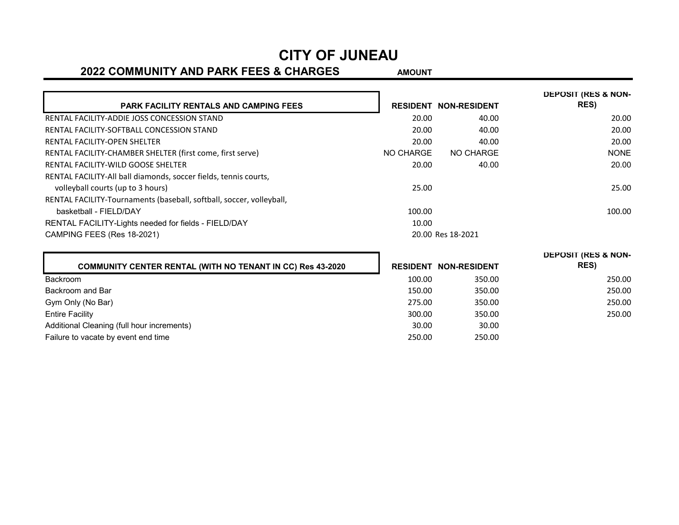#### **2022 COMMUNITY AND PARK FEES & CHARGES** AMOUNT

**DEPOSIT (RES & NON-**

**PARK FACILITY RENTALS AND CAMPING FEES RESIDENT NON-RESIDENT DEPOSIT (RES & NON-RES)** RENTAL FACILITY-ADDIE JOSS CONCESSION STAND 2000 2000 2000 2000 2000 20:00 RENTAL FACILITY-SOFTBALL CONCESSION STAND 2000 2000 2000 2000 2000 20:00 RENTAL FACILITY-OPEN SHELTER 20.00 ADDITIONAL RENTAL FACILITY-OPEN SHELTER 20.00 ADDITIONAL RENTAL RENTAL RENT RENTAL FACILITY-CHAMBER SHELTER (first come, first serve) NO NO CHARGE NO CHARGE NO CHARGE NONE RENTAL FACILITY-WILD GOOSE SHELTER 20.00 and 20.00 and 20.00 and 20.00 and 20.00 and 20.00 and 20.00 and 20.00 control 20.00 and 20.00 and 20.00 and 20.00 and 20.00 and 20.00 and 20.00 and 20.00 and 20.00 and 20.00 and 20. RENTAL FACILITY-All ball diamonds, soccer fields, tennis courts, volleyball courts (up to 3 hours) 25.00 25.00 25.00 25.00 25.00 25.00 25.00 25.00 25.00 25.00 25.00 25.00 25.00 25.00 25.00 25.00 25.00 25.00 25.00 25.00 25.00 25.00 25.00 25.00 25.00 25.00 25.00 25.00 25.00 25.00 25.00 25 RENTAL FACILITY-Tournaments (baseball, softball, soccer, volleyball, basketball - FIELD/DAY 100.00 100.00 RENTAL FACILITY-Lights needed for fields - FIELD/DAY 10.00 CAMPING FEES (Res 18-2021) 20.00 Res 18-2021

|                        |                                                                   |        |                              | DEPUSIT (RES & NUN- |
|------------------------|-------------------------------------------------------------------|--------|------------------------------|---------------------|
|                        | <b>COMMUNITY CENTER RENTAL (WITH NO TENANT IN CC) Res 43-2020</b> |        | <b>RESIDENT NON-RESIDENT</b> | <b>RES</b> )        |
| Backroom               |                                                                   | 100.00 | 350.00                       | 250.00              |
| Backroom and Bar       |                                                                   | 150.00 | 350.00                       | 250.00              |
| Gym Only (No Bar)      |                                                                   | 275.00 | 350.00                       | 250.00              |
| <b>Entire Facility</b> |                                                                   | 300.00 | 350.00                       | 250.00              |
|                        | Additional Cleaning (full hour increments)                        | 30.00  | 30.00                        |                     |
|                        | Failure to vacate by event end time                               | 250.00 | 250.00                       |                     |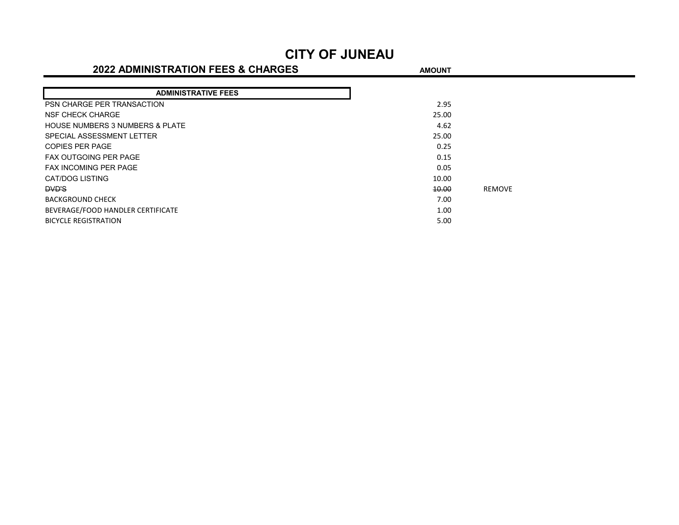#### **2022 ADMINISTRATION FEES & CHARGES** AMOUNT

| <b>ADMINISTRATIVE FEES</b>                 |       |               |
|--------------------------------------------|-------|---------------|
| PSN CHARGE PER TRANSACTION                 | 2.95  |               |
| NSF CHECK CHARGE                           | 25.00 |               |
| <b>HOUSE NUMBERS 3 NUMBERS &amp; PLATE</b> | 4.62  |               |
| SPECIAL ASSESSMENT LETTER                  | 25.00 |               |
| <b>COPIES PER PAGE</b>                     | 0.25  |               |
| <b>FAX OUTGOING PER PAGE</b>               | 0.15  |               |
| <b>FAX INCOMING PER PAGE</b>               | 0.05  |               |
| CAT/DOG LISTING                            | 10.00 |               |
| <b>DVD'S</b>                               | 10.00 | <b>RFMOVF</b> |
| <b>BACKGROUND CHECK</b>                    | 7.00  |               |
| BEVERAGE/FOOD HANDLER CERTIFICATE          | 1.00  |               |
| <b>BICYCLE REGISTRATION</b>                | 5.00  |               |